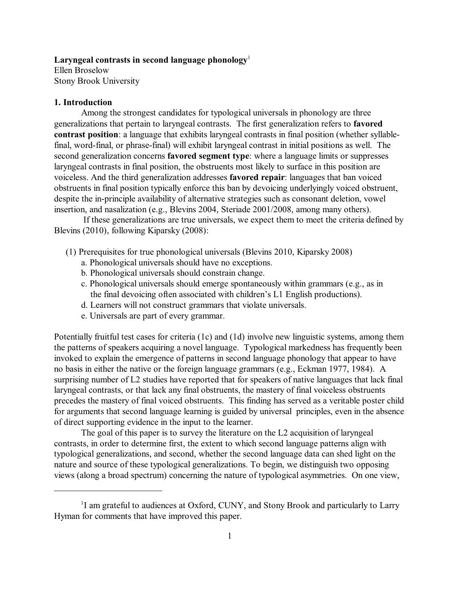#### **Laryngeal contrasts in second language phonology**<sup>1</sup>

Ellen Broselow Stony Brook University

#### **1. Introduction**

Among the strongest candidates for typological universals in phonology are three generalizations that pertain to laryngeal contrasts. The first generalization refers to **favored contrast position**: a language that exhibits laryngeal contrasts in final position (whether syllablefinal, word-final, or phrase-final) will exhibit laryngeal contrast in initial positions as well. The second generalization concerns **favored segment type**: where a language limits or suppresses laryngeal contrasts in final position, the obstruents most likely to surface in this position are voiceless. And the third generalization addresses **favored repair**: languages that ban voiced obstruents in final position typically enforce this ban by devoicing underlyingly voiced obstruent, despite the in-principle availability of alternative strategies such as consonant deletion, vowel insertion, and nasalization (e.g., Blevins 2004, Steriade 2001/2008, among many others).

If these generalizations are true universals, we expect them to meet the criteria defined by Blevins (2010), following Kiparsky (2008):

- (1) Prerequisites for true phonological universals (Blevins 2010, Kiparsky 2008)
	- a. Phonological universals should have no exceptions.
	- b. Phonological universals should constrain change.
	- c. Phonological universals should emerge spontaneously within grammars (e.g., as in the final devoicing often associated with children's L1 English productions).
	- d. Learners will not construct grammars that violate universals.
	- e. Universals are part of every grammar.

Potentially fruitful test cases for criteria (1c) and (1d) involve new linguistic systems, among them the patterns of speakers acquiring a novel language. Typological markedness has frequently been invoked to explain the emergence of patterns in second language phonology that appear to have no basis in either the native or the foreign language grammars (e.g., Eckman 1977, 1984). A surprising number of L2 studies have reported that for speakers of native languages that lack final laryngeal contrasts, or that lack any final obstruents, the mastery of final voiceless obstruents precedes the mastery of final voiced obstruents. This finding has served as a veritable poster child for arguments that second language learning is guided by universal principles, even in the absence of direct supporting evidence in the input to the learner.

The goal of this paper is to survey the literature on the L2 acquisition of laryngeal contrasts, in order to determine first, the extent to which second language patterns align with typological generalizations, and second, whether the second language data can shed light on the nature and source of these typological generalizations. To begin, we distinguish two opposing views (along a broad spectrum) concerning the nature of typological asymmetries. On one view,

 $1$ I am grateful to audiences at Oxford, CUNY, and Stony Brook and particularly to Larry Hyman for comments that have improved this paper.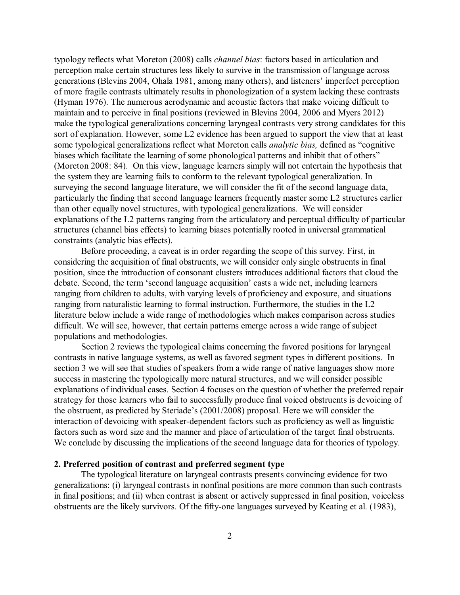typology reflects what Moreton (2008) calls *channel bias*: factors based in articulation and perception make certain structures less likely to survive in the transmission of language across generations (Blevins 2004, Ohala 1981, among many others), and listeners' imperfect perception of more fragile contrasts ultimately results in phonologization of a system lacking these contrasts (Hyman 1976). The numerous aerodynamic and acoustic factors that make voicing difficult to maintain and to perceive in final positions (reviewed in Blevins 2004, 2006 and Myers 2012) make the typological generalizations concerning laryngeal contrasts very strong candidates for this sort of explanation. However, some L2 evidence has been argued to support the view that at least some typological generalizations reflect what Moreton calls *analytic bias,* defined as "cognitive biases which facilitate the learning of some phonological patterns and inhibit that of others" (Moreton 2008: 84). On this view, language learners simply will not entertain the hypothesis that the system they are learning fails to conform to the relevant typological generalization. In surveying the second language literature, we will consider the fit of the second language data, particularly the finding that second language learners frequently master some L2 structures earlier than other equally novel structures, with typological generalizations. We will consider explanations of the L2 patterns ranging from the articulatory and perceptual difficulty of particular structures (channel bias effects) to learning biases potentially rooted in universal grammatical constraints (analytic bias effects).

Before proceeding, a caveat is in order regarding the scope of this survey. First, in considering the acquisition of final obstruents, we will consider only single obstruents in final position, since the introduction of consonant clusters introduces additional factors that cloud the debate. Second, the term 'second language acquisition' casts a wide net, including learners ranging from children to adults, with varying levels of proficiency and exposure, and situations ranging from naturalistic learning to formal instruction. Furthermore, the studies in the L2 literature below include a wide range of methodologies which makes comparison across studies difficult. We will see, however, that certain patterns emerge across a wide range of subject populations and methodologies.

Section 2 reviews the typological claims concerning the favored positions for laryngeal contrasts in native language systems, as well as favored segment types in different positions. In section 3 we will see that studies of speakers from a wide range of native languages show more success in mastering the typologically more natural structures, and we will consider possible explanations of individual cases. Section 4 focuses on the question of whether the preferred repair strategy for those learners who fail to successfully produce final voiced obstruents is devoicing of the obstruent, as predicted by Steriade's (2001/2008) proposal. Here we will consider the interaction of devoicing with speaker-dependent factors such as proficiency as well as linguistic factors such as word size and the manner and place of articulation of the target final obstruents. We conclude by discussing the implications of the second language data for theories of typology.

# **2. Preferred position of contrast and preferred segment type**

The typological literature on laryngeal contrasts presents convincing evidence for two generalizations: (i) laryngeal contrasts in nonfinal positions are more common than such contrasts in final positions; and (ii) when contrast is absent or actively suppressed in final position, voiceless obstruents are the likely survivors. Of the fifty-one languages surveyed by Keating et al. (1983),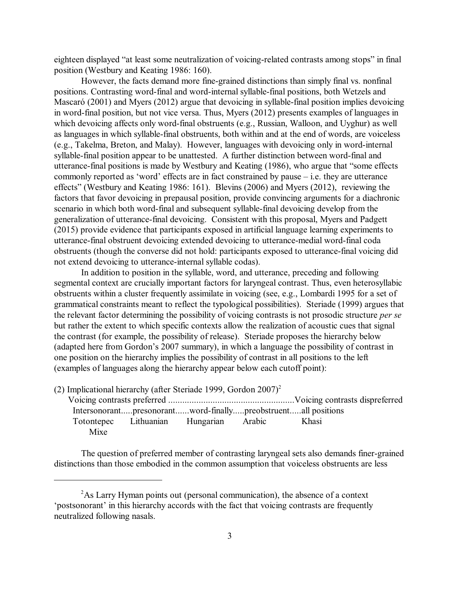eighteen displayed "at least some neutralization of voicing-related contrasts among stops" in final position (Westbury and Keating 1986: 160).

However, the facts demand more fine-grained distinctions than simply final vs. nonfinal positions. Contrasting word-final and word-internal syllable-final positions, both Wetzels and Mascaró (2001) and Myers (2012) argue that devoicing in syllable-final position implies devoicing in word-final position, but not vice versa. Thus, Myers (2012) presents examples of languages in which devoicing affects only word-final obstruents (e.g., Russian, Walloon, and Uyghur) as well as languages in which syllable-final obstruents, both within and at the end of words, are voiceless (e.g., Takelma, Breton, and Malay). However, languages with devoicing only in word-internal syllable-final position appear to be unattested. A further distinction between word-final and utterance-final positions is made by Westbury and Keating (1986), who argue that "some effects commonly reported as 'word' effects are in fact constrained by pause – i.e. they are utterance effects" (Westbury and Keating 1986: 161). Blevins (2006) and Myers (2012), reviewing the factors that favor devoicing in prepausal position, provide convincing arguments for a diachronic scenario in which both word-final and subsequent syllable-final devoicing develop from the generalization of utterance-final devoicing. Consistent with this proposal, Myers and Padgett (2015) provide evidence that participants exposed in artificial language learning experiments to utterance-final obstruent devoicing extended devoicing to utterance-medial word-final coda obstruents (though the converse did not hold: participants exposed to utterance-final voicing did not extend devoicing to utterance-internal syllable codas).

In addition to position in the syllable, word, and utterance, preceding and following segmental context are crucially important factors for laryngeal contrast. Thus, even heterosyllabic obstruents within a cluster frequently assimilate in voicing (see, e.g., Lombardi 1995 for a set of grammatical constraints meant to reflect the typological possibilities). Steriade (1999) argues that the relevant factor determining the possibility of voicing contrasts is not prosodic structure *per se* but rather the extent to which specific contexts allow the realization of acoustic cues that signal the contrast (for example, the possibility of release). Steriade proposes the hierarchy below (adapted here from Gordon's 2007 summary), in which a language the possibility of contrast in one position on the hierarchy implies the possibility of contrast in all positions to the left (examples of languages along the hierarchy appear below each cutoff point):

(2) Implicational hierarchy (after Steriade 1999, Gordon  $2007$ )<sup>2</sup>

|      |                                        |  | Intersonorantpresonorantword-finallypreobstruentall positions |  |
|------|----------------------------------------|--|---------------------------------------------------------------|--|
|      | Totontepec Lithuanian Hungarian Arabic |  | Khasi                                                         |  |
| Mixe |                                        |  |                                                               |  |

The question of preferred member of contrasting laryngeal sets also demands finer-grained distinctions than those embodied in the common assumption that voiceless obstruents are less

<sup>&</sup>lt;sup>2</sup>As Larry Hyman points out (personal communication), the absence of a context 'postsonorant' in this hierarchy accords with the fact that voicing contrasts are frequently neutralized following nasals.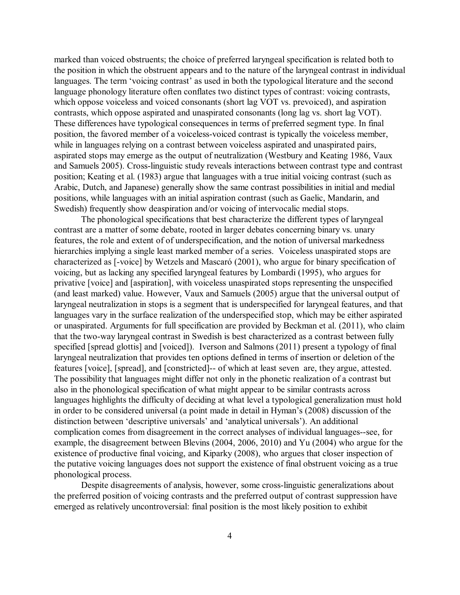marked than voiced obstruents; the choice of preferred laryngeal specification is related both to the position in which the obstruent appears and to the nature of the laryngeal contrast in individual languages. The term 'voicing contrast' as used in both the typological literature and the second language phonology literature often conflates two distinct types of contrast: voicing contrasts, which oppose voiceless and voiced consonants (short lag VOT vs. prevoiced), and aspiration contrasts, which oppose aspirated and unaspirated consonants (long lag vs. short lag VOT). These differences have typological consequences in terms of preferred segment type. In final position, the favored member of a voiceless-voiced contrast is typically the voiceless member, while in languages relying on a contrast between voiceless aspirated and unaspirated pairs, aspirated stops may emerge as the output of neutralization (Westbury and Keating 1986, Vaux and Samuels 2005). Cross-linguistic study reveals interactions between contrast type and contrast position; Keating et al. (1983) argue that languages with a true initial voicing contrast (such as Arabic, Dutch, and Japanese) generally show the same contrast possibilities in initial and medial positions, while languages with an initial aspiration contrast (such as Gaelic, Mandarin, and Swedish) frequently show deaspiration and/or voicing of intervocalic medial stops.

The phonological specifications that best characterize the different types of laryngeal contrast are a matter of some debate, rooted in larger debates concerning binary vs. unary features, the role and extent of of underspecification, and the notion of universal markedness hierarchies implying a single least marked member of a series. Voiceless unaspirated stops are characterized as [-voice] by Wetzels and Mascaró (2001), who argue for binary specification of voicing, but as lacking any specified laryngeal features by Lombardi (1995), who argues for privative [voice] and [aspiration], with voiceless unaspirated stops representing the unspecified (and least marked) value. However, Vaux and Samuels (2005) argue that the universal output of laryngeal neutralization in stops is a segment that is underspecified for laryngeal features, and that languages vary in the surface realization of the underspecified stop, which may be either aspirated or unaspirated. Arguments for full specification are provided by Beckman et al. (2011), who claim that the two-way laryngeal contrast in Swedish is best characterized as a contrast between fully specified [spread glottis] and [voiced]). Iverson and Salmons (2011) present a typology of final laryngeal neutralization that provides ten options defined in terms of insertion or deletion of the features [voice], [spread], and [constricted]-- of which at least seven are, they argue, attested. The possibility that languages might differ not only in the phonetic realization of a contrast but also in the phonological specification of what might appear to be similar contrasts across languages highlights the difficulty of deciding at what level a typological generalization must hold in order to be considered universal (a point made in detail in Hyman's (2008) discussion of the distinction between 'descriptive universals' and 'analytical universals'). An additional complication comes from disagreement in the correct analyses of individual languages--see, for example, the disagreement between Blevins (2004, 2006, 2010) and Yu (2004) who argue for the existence of productive final voicing, and Kiparky (2008), who argues that closer inspection of the putative voicing languages does not support the existence of final obstruent voicing as a true phonological process.

Despite disagreements of analysis, however, some cross-linguistic generalizations about the preferred position of voicing contrasts and the preferred output of contrast suppression have emerged as relatively uncontroversial: final position is the most likely position to exhibit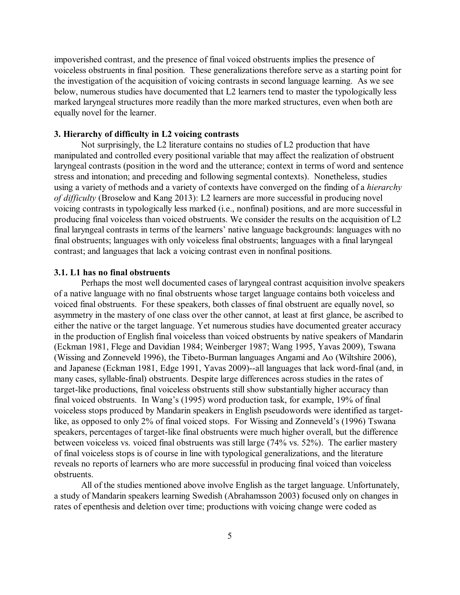impoverished contrast, and the presence of final voiced obstruents implies the presence of voiceless obstruents in final position. These generalizations therefore serve as a starting point for the investigation of the acquisition of voicing contrasts in second language learning. As we see below, numerous studies have documented that L2 learners tend to master the typologically less marked laryngeal structures more readily than the more marked structures, even when both are equally novel for the learner.

# **3. Hierarchy of difficulty in L2 voicing contrasts**

Not surprisingly, the L2 literature contains no studies of L2 production that have manipulated and controlled every positional variable that may affect the realization of obstruent laryngeal contrasts (position in the word and the utterance; context in terms of word and sentence stress and intonation; and preceding and following segmental contexts). Nonetheless, studies using a variety of methods and a variety of contexts have converged on the finding of a *hierarchy of difficulty* (Broselow and Kang 2013): L2 learners are more successful in producing novel voicing contrasts in typologically less marked (i.e., nonfinal) positions, and are more successful in producing final voiceless than voiced obstruents. We consider the results on the acquisition of L2 final laryngeal contrasts in terms of the learners' native language backgrounds: languages with no final obstruents; languages with only voiceless final obstruents; languages with a final laryngeal contrast; and languages that lack a voicing contrast even in nonfinal positions.

#### **3.1. L1 has no final obstruents**

Perhaps the most well documented cases of laryngeal contrast acquisition involve speakers of a native language with no final obstruents whose target language contains both voiceless and voiced final obstruents. For these speakers, both classes of final obstruent are equally novel, so asymmetry in the mastery of one class over the other cannot, at least at first glance, be ascribed to either the native or the target language. Yet numerous studies have documented greater accuracy in the production of English final voiceless than voiced obstruents by native speakers of Mandarin (Eckman 1981, Flege and Davidian 1984; Weinberger 1987; Wang 1995, Yavas 2009), Tswana (Wissing and Zonneveld 1996), the Tibeto-Burman languages Angami and Ao (Wiltshire 2006), and Japanese (Eckman 1981, Edge 1991, Yavas 2009)--all languages that lack word-final (and, in many cases, syllable-final) obstruents. Despite large differences across studies in the rates of target-like productions, final voiceless obstruents still show substantially higher accuracy than final voiced obstruents. In Wang's (1995) word production task, for example, 19% of final voiceless stops produced by Mandarin speakers in English pseudowords were identified as targetlike, as opposed to only 2% of final voiced stops. For Wissing and Zonneveld's (1996) Tswana speakers, percentages of target-like final obstruents were much higher overall, but the difference between voiceless vs. voiced final obstruents was still large (74% vs. 52%). The earlier mastery of final voiceless stops is of course in line with typological generalizations, and the literature reveals no reports of learners who are more successful in producing final voiced than voiceless obstruents.

All of the studies mentioned above involve English as the target language. Unfortunately, a study of Mandarin speakers learning Swedish (Abrahamsson 2003) focused only on changes in rates of epenthesis and deletion over time; productions with voicing change were coded as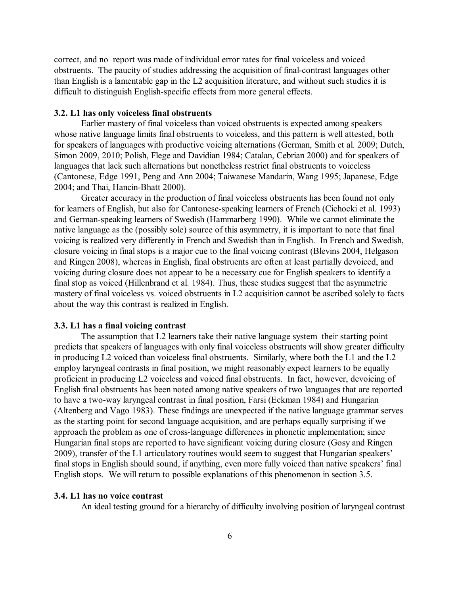correct, and no report was made of individual error rates for final voiceless and voiced obstruents. The paucity of studies addressing the acquisition of final-contrast languages other than English is a lamentable gap in the L2 acquisition literature, and without such studies it is difficult to distinguish English-specific effects from more general effects.

## **3.2. L1 has only voiceless final obstruents**

Earlier mastery of final voiceless than voiced obstruents is expected among speakers whose native language limits final obstruents to voiceless, and this pattern is well attested, both for speakers of languages with productive voicing alternations (German, Smith et al. 2009; Dutch, Simon 2009, 2010; Polish, Flege and Davidian 1984; Catalan, Cebrian 2000) and for speakers of languages that lack such alternations but nonetheless restrict final obstruents to voiceless (Cantonese, Edge 1991, Peng and Ann 2004; Taiwanese Mandarin, Wang 1995; Japanese, Edge 2004; and Thai, Hancin-Bhatt 2000).

Greater accuracy in the production of final voiceless obstruents has been found not only for learners of English, but also for Cantonese-speaking learners of French (Cichocki et al. 1993) and German-speaking learners of Swedish (Hammarberg 1990). While we cannot eliminate the native language as the (possibly sole) source of this asymmetry, it is important to note that final voicing is realized very differently in French and Swedish than in English. In French and Swedish, closure voicing in final stops is a major cue to the final voicing contrast (Blevins 2004, Helgason and Ringen 2008), whereas in English, final obstruents are often at least partially devoiced, and voicing during closure does not appear to be a necessary cue for English speakers to identify a final stop as voiced (Hillenbrand et al. 1984). Thus, these studies suggest that the asymmetric mastery of final voiceless vs. voiced obstruents in L2 acquisition cannot be ascribed solely to facts about the way this contrast is realized in English.

# **3.3. L1 has a final voicing contrast**

The assumption that L2 learners take their native language system their starting point predicts that speakers of languages with only final voiceless obstruents will show greater difficulty in producing L2 voiced than voiceless final obstruents. Similarly, where both the L1 and the L2 employ laryngeal contrasts in final position, we might reasonably expect learners to be equally proficient in producing L2 voiceless and voiced final obstruents. In fact, however, devoicing of English final obstruents has been noted among native speakers of two languages that are reported to have a two-way laryngeal contrast in final position, Farsi (Eckman 1984) and Hungarian (Altenberg and Vago 1983). These findings are unexpected if the native language grammar serves as the starting point for second language acquisition, and are perhaps equally surprising if we approach the problem as one of cross-language differences in phonetic implementation; since Hungarian final stops are reported to have significant voicing during closure (Gosy and Ringen 2009), transfer of the L1 articulatory routines would seem to suggest that Hungarian speakers' final stops in English should sound, if anything, even more fully voiced than native speakers' final English stops. We will return to possible explanations of this phenomenon in section 3.5.

#### **3.4. L1 has no voice contrast**

An ideal testing ground for a hierarchy of difficulty involving position of laryngeal contrast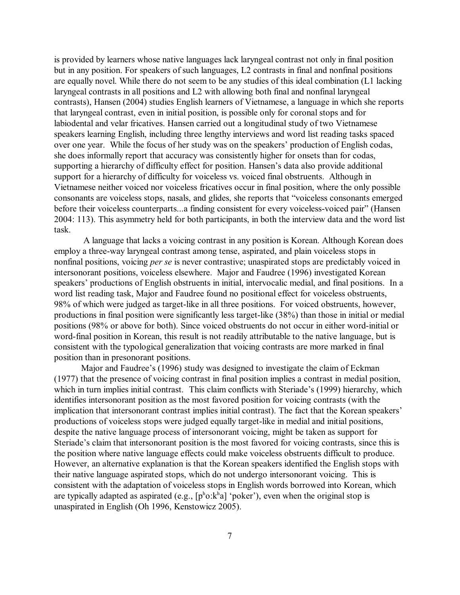is provided by learners whose native languages lack laryngeal contrast not only in final position but in any position. For speakers of such languages, L2 contrasts in final and nonfinal positions are equally novel. While there do not seem to be any studies of this ideal combination (L1 lacking laryngeal contrasts in all positions and L2 with allowing both final and nonfinal laryngeal contrasts), Hansen (2004) studies English learners of Vietnamese, a language in which she reports that laryngeal contrast, even in initial position, is possible only for coronal stops and for labiodental and velar fricatives. Hansen carried out a longitudinal study of two Vietnamese speakers learning English, including three lengthy interviews and word list reading tasks spaced over one year. While the focus of her study was on the speakers' production of English codas, she does informally report that accuracy was consistently higher for onsets than for codas, supporting a hierarchy of difficulty effect for position. Hansen's data also provide additional support for a hierarchy of difficulty for voiceless vs. voiced final obstruents. Although in Vietnamese neither voiced nor voiceless fricatives occur in final position, where the only possible consonants are voiceless stops, nasals, and glides, she reports that "voiceless consonants emerged before their voiceless counterparts...a finding consistent for every voiceless-voiced pair" (Hansen 2004: 113). This asymmetry held for both participants, in both the interview data and the word list task.

A language that lacks a voicing contrast in any position is Korean. Although Korean does employ a three-way laryngeal contrast among tense, aspirated, and plain voiceless stops in nonfinal positions, voicing *per se* is never contrastive; unaspirated stops are predictably voiced in intersonorant positions, voiceless elsewhere. Major and Faudree (1996) investigated Korean speakers' productions of English obstruents in initial, intervocalic medial, and final positions. In a word list reading task, Major and Faudree found no positional effect for voiceless obstruents, 98% of which were judged as target-like in all three positions. For voiced obstruents, however, productions in final position were significantly less target-like (38%) than those in initial or medial positions (98% or above for both). Since voiced obstruents do not occur in either word-initial or word-final position in Korean, this result is not readily attributable to the native language, but is consistent with the typological generalization that voicing contrasts are more marked in final position than in presonorant positions.

Major and Faudree's (1996) study was designed to investigate the claim of Eckman (1977) that the presence of voicing contrast in final position implies a contrast in medial position, which in turn implies initial contrast. This claim conflicts with Steriade's (1999) hierarchy, which identifies intersonorant position as the most favored position for voicing contrasts (with the implication that intersonorant contrast implies initial contrast). The fact that the Korean speakers' productions of voiceless stops were judged equally target-like in medial and initial positions, despite the native language process of intersonorant voicing, might be taken as support for Steriade's claim that intersonorant position is the most favored for voicing contrasts, since this is the position where native language effects could make voiceless obstruents difficult to produce. However, an alternative explanation is that the Korean speakers identified the English stops with their native language aspirated stops, which do not undergo intersonorant voicing. This is consistent with the adaptation of voiceless stops in English words borrowed into Korean, which are typically adapted as aspirated (e.g.,  $[p^h o:k^h a]$  'poker'), even when the original stop is unaspirated in English (Oh 1996, Kenstowicz 2005).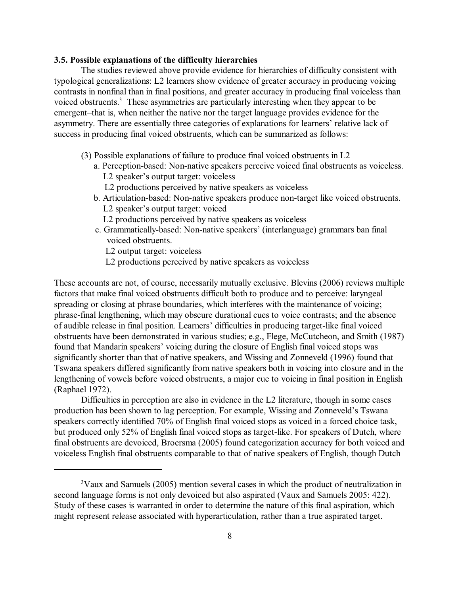# **3.5. Possible explanations of the difficulty hierarchies**

The studies reviewed above provide evidence for hierarchies of difficulty consistent with typological generalizations: L2 learners show evidence of greater accuracy in producing voicing contrasts in nonfinal than in final positions, and greater accuracy in producing final voiceless than voiced obstruents.<sup>3</sup> These asymmetries are particularly interesting when they appear to be emergent–that is, when neither the native nor the target language provides evidence for the asymmetry. There are essentially three categories of explanations for learners' relative lack of success in producing final voiced obstruents, which can be summarized as follows:

- (3) Possible explanations of failure to produce final voiced obstruents in L2
	- a. Perception-based: Non-native speakers perceive voiced final obstruents as voiceless. L2 speaker's output target: voiceless
		- L2 productions perceived by native speakers as voiceless
	- b. Articulation-based: Non-native speakers produce non-target like voiced obstruents. L2 speaker's output target: voiced
		- L2 productions perceived by native speakers as voiceless
	- c. Grammatically-based: Non-native speakers' (interlanguage) grammars ban final voiced obstruents.
		- L2 output target: voiceless
		- L2 productions perceived by native speakers as voiceless

These accounts are not, of course, necessarily mutually exclusive. Blevins (2006) reviews multiple factors that make final voiced obstruents difficult both to produce and to perceive: laryngeal spreading or closing at phrase boundaries, which interferes with the maintenance of voicing; phrase-final lengthening, which may obscure durational cues to voice contrasts; and the absence of audible release in final position. Learners' difficulties in producing target-like final voiced obstruents have been demonstrated in various studies; e.g., Flege, McCutcheon, and Smith (1987) found that Mandarin speakers' voicing during the closure of English final voiced stops was significantly shorter than that of native speakers, and Wissing and Zonneveld (1996) found that Tswana speakers differed significantly from native speakers both in voicing into closure and in the lengthening of vowels before voiced obstruents, a major cue to voicing in final position in English (Raphael 1972).

Difficulties in perception are also in evidence in the L2 literature, though in some cases production has been shown to lag perception. For example, Wissing and Zonneveld's Tswana speakers correctly identified 70% of English final voiced stops as voiced in a forced choice task, but produced only 52% of English final voiced stops as target-like. For speakers of Dutch, where final obstruents are devoiced, Broersma (2005) found categorization accuracy for both voiced and voiceless English final obstruents comparable to that of native speakers of English, though Dutch

<sup>&</sup>lt;sup>3</sup>Vaux and Samuels (2005) mention several cases in which the product of neutralization in second language forms is not only devoiced but also aspirated (Vaux and Samuels 2005: 422). Study of these cases is warranted in order to determine the nature of this final aspiration, which might represent release associated with hyperarticulation, rather than a true aspirated target.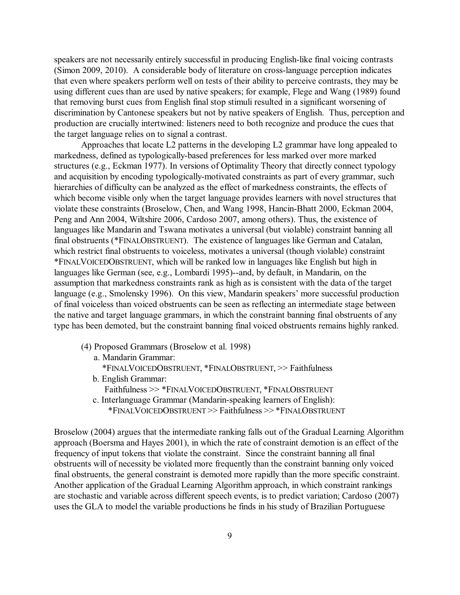speakers are not necessarily entirely successful in producing English-like final voicing contrasts (Simon 2009, 2010). A considerable body of literature on cross-language perception indicates that even where speakers perform well on tests of their ability to perceive contrasts, they may be using different cues than are used by native speakers; for example, Flege and Wang (1989) found that removing burst cues from English final stop stimuli resulted in a significant worsening of discrimination by Cantonese speakers but not by native speakers of English. Thus, perception and production are crucially intertwined: listeners need to both recognize and produce the cues that the target language relies on to signal a contrast.

Approaches that locate L2 patterns in the developing L2 grammar have long appealed to markedness, defined as typologically-based preferences for less marked over more marked structures (e.g., Eckman 1977). In versions of Optimality Theory that directly connect typology and acquisition by encoding typologically-motivated constraints as part of every grammar, such hierarchies of difficulty can be analyzed as the effect of markedness constraints, the effects of which become visible only when the target language provides learners with novel structures that violate these constraints (Broselow, Chen, and Wang 1998, Hancin-Bhatt 2000, Eckman 2004, Peng and Ann 2004, Wiltshire 2006, Cardoso 2007, among others). Thus, the existence of languages like Mandarin and Tswana motivates a universal (but violable) constraint banning all final obstruents (\*FINALOBSTRUENT). The existence of languages like German and Catalan, which restrict final obstruents to voiceless, motivates a universal (though violable) constraint \*FINALVOICEDOBSTRUENT, which will be ranked low in languages like English but high in languages like German (see, e.g., Lombardi 1995)--and, by default, in Mandarin, on the assumption that markedness constraints rank as high as is consistent with the data of the target language (e.g., Smolensky 1996). On this view, Mandarin speakers' more successful production of final voiceless than voiced obstruents can be seen as reflecting an intermediate stage between the native and target language grammars, in which the constraint banning final obstruents of any type has been demoted, but the constraint banning final voiced obstruents remains highly ranked.

- (4) Proposed Grammars (Broselow et al. 1998)
	- a. Mandarin Grammar: \*FINALVOICEDOBSTRUENT, \*FINALOBSTRUENT, >> Faithfulness b. English Grammar:
		- Faithfulness >> \*FINALVOICEDOBSTRUENT, \*FINALOBSTRUENT
	- c. Interlanguage Grammar (Mandarin-speaking learners of English): \*FINALVOICEDOBSTRUENT >> Faithfulness >> \*FINALOBSTRUENT

Broselow (2004) argues that the intermediate ranking falls out of the Gradual Learning Algorithm approach (Boersma and Hayes 2001), in which the rate of constraint demotion is an effect of the frequency of input tokens that violate the constraint. Since the constraint banning all final obstruents will of necessity be violated more frequently than the constraint banning only voiced final obstruents, the general constraint is demoted more rapidly than the more specific constraint. Another application of the Gradual Learning Algorithm approach, in which constraint rankings are stochastic and variable across different speech events, is to predict variation; Cardoso (2007) uses the GLA to model the variable productions he finds in his study of Brazilian Portuguese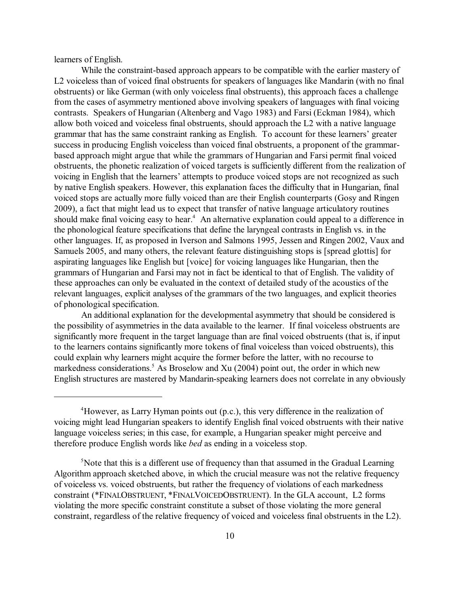learners of English.

While the constraint-based approach appears to be compatible with the earlier mastery of L2 voiceless than of voiced final obstruents for speakers of languages like Mandarin (with no final obstruents) or like German (with only voiceless final obstruents), this approach faces a challenge from the cases of asymmetry mentioned above involving speakers of languages with final voicing contrasts. Speakers of Hungarian (Altenberg and Vago 1983) and Farsi (Eckman 1984), which allow both voiced and voiceless final obstruents, should approach the L2 with a native language grammar that has the same constraint ranking as English. To account for these learners' greater success in producing English voiceless than voiced final obstruents, a proponent of the grammarbased approach might argue that while the grammars of Hungarian and Farsi permit final voiced obstruents, the phonetic realization of voiced targets is sufficiently different from the realization of voicing in English that the learners' attempts to produce voiced stops are not recognized as such by native English speakers. However, this explanation faces the difficulty that in Hungarian, final voiced stops are actually more fully voiced than are their English counterparts (Gosy and Ringen 2009), a fact that might lead us to expect that transfer of native language articulatory routines should make final voicing easy to hear.<sup>4</sup> An alternative explanation could appeal to a difference in the phonological feature specifications that define the laryngeal contrasts in English vs. in the other languages. If, as proposed in Iverson and Salmons 1995, Jessen and Ringen 2002, Vaux and Samuels 2005, and many others, the relevant feature distinguishing stops is [spread glottis] for aspirating languages like English but [voice] for voicing languages like Hungarian, then the grammars of Hungarian and Farsi may not in fact be identical to that of English. The validity of these approaches can only be evaluated in the context of detailed study of the acoustics of the relevant languages, explicit analyses of the grammars of the two languages, and explicit theories of phonological specification.

An additional explanation for the developmental asymmetry that should be considered is the possibility of asymmetries in the data available to the learner. If final voiceless obstruents are significantly more frequent in the target language than are final voiced obstruents (that is, if input to the learners contains significantly more tokens of final voiceless than voiced obstruents), this could explain why learners might acquire the former before the latter, with no recourse to markedness considerations.<sup>5</sup> As Broselow and Xu (2004) point out, the order in which new English structures are mastered by Mandarin-speaking learners does not correlate in any obviously

 $4$ However, as Larry Hyman points out (p.c.), this very difference in the realization of voicing might lead Hungarian speakers to identify English final voiced obstruents with their native language voiceless series; in this case, for example, a Hungarian speaker might perceive and therefore produce English words like *bed* as ending in a voiceless stop.

<sup>&</sup>lt;sup>5</sup>Note that this is a different use of frequency than that assumed in the Gradual Learning Algorithm approach sketched above, in which the crucial measure was not the relative frequency of voiceless vs. voiced obstruents, but rather the frequency of violations of each markedness constraint (\*FINALOBSTRUENT, \*FINALVOICEDOBSTRUENT). In the GLA account, L2 forms violating the more specific constraint constitute a subset of those violating the more general constraint, regardless of the relative frequency of voiced and voiceless final obstruents in the L2).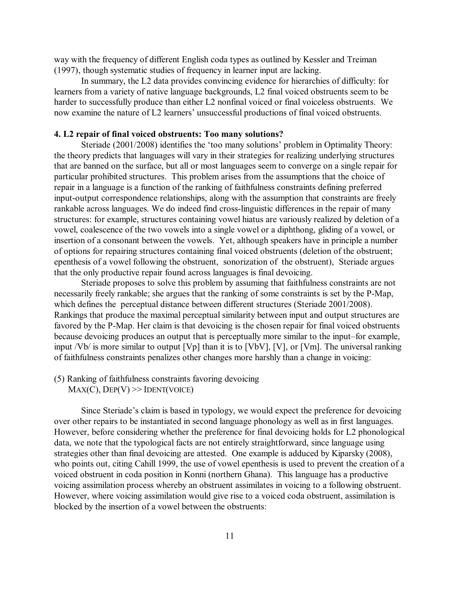way with the frequency of different English coda types as outlined by Kessler and Treiman (1997), though systematic studies of frequency in learner input are lacking.

In summary, the L2 data provides convincing evidence for hierarchies of difficulty: for learners from a variety of native language backgrounds, L2 final voiced obstruents seem to be harder to successfully produce than either L2 nonfinal voiced or final voiceless obstruents. We now examine the nature of L2 learners' unsuccessful productions of final voiced obstruents.

### **4. L2 repair of final voiced obstruents: Too many solutions?**

Steriade (2001/2008) identifies the 'too many solutions' problem in Optimality Theory: the theory predicts that languages will vary in their strategies for realizing underlying structures that are banned on the surface, but all or most languages seem to converge on a single repair for particular prohibited structures. This problem arises from the assumptions that the choice of repair in a language is a function of the ranking of faithfulness constraints defining preferred input-output correspondence relationships, along with the assumption that constraints are freely rankable across languages. We do indeed find cross-linguistic differences in the repair of many structures: for example, structures containing vowel hiatus are variously realized by deletion of a vowel, coalescence of the two vowels into a single vowel or a diphthong, gliding of a vowel, or insertion of a consonant between the vowels. Yet, although speakers have in principle a number of options for repairing structures containing final voiced obstruents (deletion of the obstruent; epenthesis of a vowel following the obstruent, sonorization of the obstruent), Steriade argues that the only productive repair found across languages is final devoicing.

Steriade proposes to solve this problem by assuming that faithfulness constraints are not necessarily freely rankable; she argues that the ranking of some constraints is set by the P-Map, which defines the perceptual distance between different structures (Steriade 2001/2008). Rankings that produce the maximal perceptual similarity between input and output structures are favored by the P-Map. Her claim is that devoicing is the chosen repair for final voiced obstruents because devoicing produces an output that is perceptually more similar to the input–for example, input /Vb/ is more similar to output [Vp] than it is to [VbV], [V], or [Vm]. The universal ranking of faithfulness constraints penalizes other changes more harshly than a change in voicing:

(5) Ranking of faithfulness constraints favoring devoicing  $MAX(C)$ ,  $Dep(V) \gg IDENT(VOICE)$ 

Since Steriade's claim is based in typology, we would expect the preference for devoicing over other repairs to be instantiated in second language phonology as well as in first languages. However, before considering whether the preference for final devoicing holds for L2 phonological data, we note that the typological facts are not entirely straightforward, since language using strategies other than final devoicing are attested. One example is adduced by Kiparsky (2008), who points out, citing Cahill 1999, the use of vowel epenthesis is used to prevent the creation of a voiced obstruent in coda position in Konni (northern Ghana). This language has a productive voicing assimilation process whereby an obstruent assimilates in voicing to a following obstruent. However, where voicing assimilation would give rise to a voiced coda obstruent, assimilation is blocked by the insertion of a vowel between the obstruents: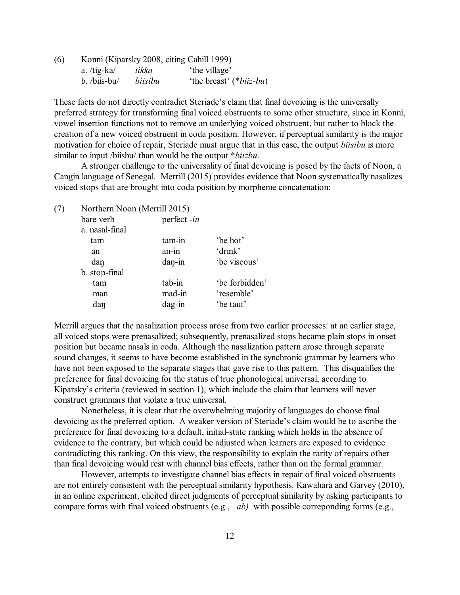(6) Konni (Kiparsky 2008, citing Cahill 1999) a. /tig-ka/ *tikka* 'the village' b. /biis-bu/ *biisibu* 'the breast' (\**biiz-bu*)

These facts do not directly contradict Steriade's claim that final devoicing is the universally preferred strategy for transforming final voiced obstruents to some other structure, since in Konni, vowel insertion functions not to remove an underlying voiced obstruent, but rather to block the creation of a new voiced obstruent in coda position. However, if perceptual similarity is the major motivation for choice of repair, Steriade must argue that in this case, the output *biisibu* is more similar to input /biisbu/ than would be the output \**biizbu*.

A stronger challenge to the universality of final devoicing is posed by the facts of Noon, a Cangin language of Senegal. Merrill (2015) provides evidence that Noon systematically nasalizes voiced stops that are brought into coda position by morpheme concatenation:

(7) Northern Noon (Merrill 2015)

| bare verb      | perfect $-in$ |                |
|----------------|---------------|----------------|
| a. nasal-final |               |                |
| tam            | tam-in        | 'be hot'       |
| an             | an-in         | 'drink'        |
| dan            | $dan-in$      | 'be viscous'   |
| b. stop-final  |               |                |
| tam            | tab-in        | 'be forbidden' |
| man            | mad-in        | 'resemble'     |
| dan            | dag-in        | 'be taut'      |
|                |               |                |

Merrill argues that the nasalization process arose from two earlier processes: at an earlier stage, all voiced stops were prenasalized; subsequently, prenasalized stops became plain stops in onset position but became nasals in coda. Although the nasalization pattern arose through separate sound changes, it seems to have become established in the synchronic grammar by learners who have not been exposed to the separate stages that gave rise to this pattern. This disqualifies the preference for final devoicing for the status of true phonological universal, according to Kiparsky's criteria (reviewed in section 1), which include the claim that learners will never construct grammars that violate a true universal.

Nonetheless, it is clear that the overwhelming majority of languages do choose final devoicing as the preferred option. A weaker version of Steriade's claim would be to ascribe the preference for final devoicing to a default, initial-state ranking which holds in the absence of evidence to the contrary, but which could be adjusted when learners are exposed to evidence contradicting this ranking. On this view, the responsibility to explain the rarity of repairs other than final devoicing would rest with channel bias effects, rather than on the formal grammar.

However, attempts to investigate channel bias effects in repair of final voiced obstruents are not entirely consistent with the perceptual similarity hypothesis. Kawahara and Garvey (2010), in an online experiment, elicited direct judgments of perceptual similarity by asking participants to compare forms with final voiced obstruents (e.g., *ab)* with possible correponding forms (e.g.,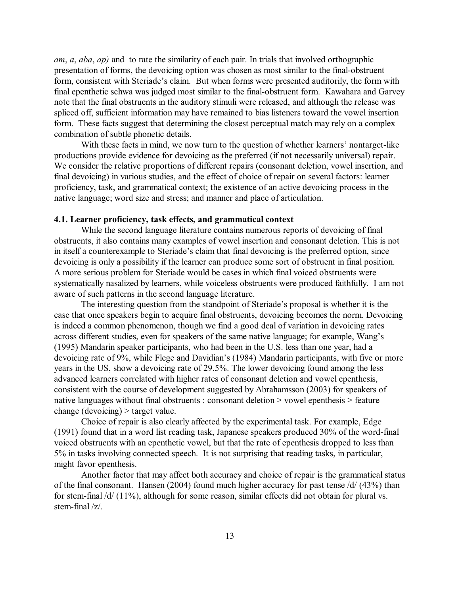*am*, *a*, *aba*, *ap)* and to rate the similarity of each pair. In trials that involved orthographic presentation of forms, the devoicing option was chosen as most similar to the final-obstruent form, consistent with Steriade's claim. But when forms were presented auditorily, the form with final epenthetic schwa was judged most similar to the final-obstruent form. Kawahara and Garvey note that the final obstruents in the auditory stimuli were released, and although the release was spliced off, sufficient information may have remained to bias listeners toward the vowel insertion form. These facts suggest that determining the closest perceptual match may rely on a complex combination of subtle phonetic details.

With these facts in mind, we now turn to the question of whether learners' nontarget-like productions provide evidence for devoicing as the preferred (if not necessarily universal) repair. We consider the relative proportions of different repairs (consonant deletion, vowel insertion, and final devoicing) in various studies, and the effect of choice of repair on several factors: learner proficiency, task, and grammatical context; the existence of an active devoicing process in the native language; word size and stress; and manner and place of articulation.

# **4.1. Learner proficiency, task effects, and grammatical context**

While the second language literature contains numerous reports of devoicing of final obstruents, it also contains many examples of vowel insertion and consonant deletion. This is not in itself a counterexample to Steriade's claim that final devoicing is the preferred option, since devoicing is only a possibility if the learner can produce some sort of obstruent in final position. A more serious problem for Steriade would be cases in which final voiced obstruents were systematically nasalized by learners, while voiceless obstruents were produced faithfully. I am not aware of such patterns in the second language literature.

The interesting question from the standpoint of Steriade's proposal is whether it is the case that once speakers begin to acquire final obstruents, devoicing becomes the norm. Devoicing is indeed a common phenomenon, though we find a good deal of variation in devoicing rates across different studies, even for speakers of the same native language; for example, Wang's (1995) Mandarin speaker participants, who had been in the U.S. less than one year, had a devoicing rate of 9%, while Flege and Davidian's (1984) Mandarin participants, with five or more years in the US, show a devoicing rate of 29.5%. The lower devoicing found among the less advanced learners correlated with higher rates of consonant deletion and vowel epenthesis, consistent with the course of development suggested by Abrahamsson (2003) for speakers of native languages without final obstruents : consonant deletion > vowel epenthesis > feature change (devoicing) > target value.

Choice of repair is also clearly affected by the experimental task. For example, Edge (1991) found that in a word list reading task, Japanese speakers produced 30% of the word-final voiced obstruents with an epenthetic vowel, but that the rate of epenthesis dropped to less than 5% in tasks involving connected speech. It is not surprising that reading tasks, in particular, might favor epenthesis.

Another factor that may affect both accuracy and choice of repair is the grammatical status of the final consonant. Hansen (2004) found much higher accuracy for past tense /d/ (43%) than for stem-final /d/ (11%), although for some reason, similar effects did not obtain for plural vs. stem-final /z/.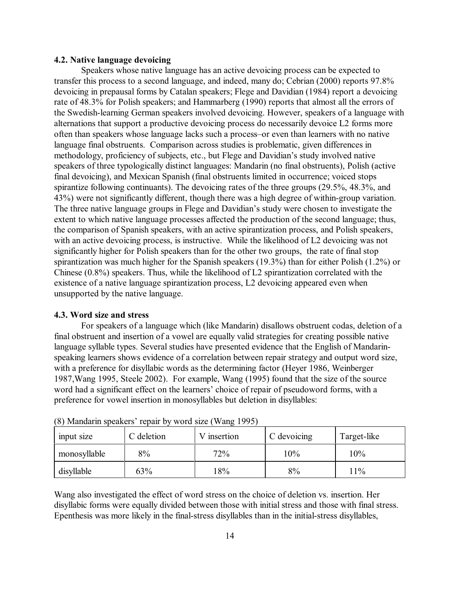#### **4.2. Native language devoicing**

Speakers whose native language has an active devoicing process can be expected to transfer this process to a second language, and indeed, many do; Cebrian (2000) reports 97.8% devoicing in prepausal forms by Catalan speakers; Flege and Davidian (1984) report a devoicing rate of 48.3% for Polish speakers; and Hammarberg (1990) reports that almost all the errors of the Swedish-learning German speakers involved devoicing. However, speakers of a language with alternations that support a productive devoicing process do necessarily devoice L2 forms more often than speakers whose language lacks such a process–or even than learners with no native language final obstruents. Comparison across studies is problematic, given differences in methodology, proficiency of subjects, etc., but Flege and Davidian's study involved native speakers of three typologically distinct languages: Mandarin (no final obstruents), Polish (active final devoicing), and Mexican Spanish (final obstruents limited in occurrence; voiced stops spirantize following continuants). The devoicing rates of the three groups (29.5%, 48.3%, and 43%) were not significantly different, though there was a high degree of within-group variation. The three native language groups in Flege and Davidian's study were chosen to investigate the extent to which native language processes affected the production of the second language; thus, the comparison of Spanish speakers, with an active spirantization process, and Polish speakers, with an active devoicing process, is instructive. While the likelihood of L2 devoicing was not significantly higher for Polish speakers than for the other two groups, the rate of final stop spirantization was much higher for the Spanish speakers (19.3%) than for either Polish (1.2%) or Chinese (0.8%) speakers. Thus, while the likelihood of L2 spirantization correlated with the existence of a native language spirantization process, L2 devoicing appeared even when unsupported by the native language.

# **4.3. Word size and stress**

For speakers of a language which (like Mandarin) disallows obstruent codas, deletion of a final obstruent and insertion of a vowel are equally valid strategies for creating possible native language syllable types. Several studies have presented evidence that the English of Mandarinspeaking learners shows evidence of a correlation between repair strategy and output word size, with a preference for disyllabic words as the determining factor (Heyer 1986, Weinberger 1987,Wang 1995, Steele 2002). For example, Wang (1995) found that the size of the source word had a significant effect on the learners' choice of repair of pseudoword forms, with a preference for vowel insertion in monosyllables but deletion in disyllables:

| input size   | C deletion | V insertion | C devoicing | Target-like |
|--------------|------------|-------------|-------------|-------------|
| monosyllable | 8%         | 72%         | 10%         | 10%         |
| disyllable   | 63%        | 18%         | 8%          | $11\%$      |

|  | (8) Mandarin speakers' repair by word size (Wang 1995) |  |  |  |
|--|--------------------------------------------------------|--|--|--|
|  |                                                        |  |  |  |

Wang also investigated the effect of word stress on the choice of deletion vs. insertion. Her disyllabic forms were equally divided between those with initial stress and those with final stress. Epenthesis was more likely in the final-stress disyllables than in the initial-stress disyllables,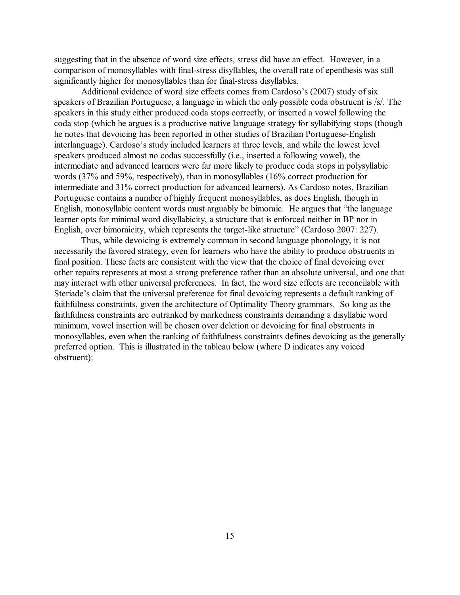suggesting that in the absence of word size effects, stress did have an effect. However, in a comparison of monosyllables with final-stress disyllables, the overall rate of epenthesis was still significantly higher for monosyllables than for final-stress disyllables.

Additional evidence of word size effects comes from Cardoso's (2007) study of six speakers of Brazilian Portuguese, a language in which the only possible coda obstruent is /s/. The speakers in this study either produced coda stops correctly, or inserted a vowel following the coda stop (which he argues is a productive native language strategy for syllabifying stops (though he notes that devoicing has been reported in other studies of Brazilian Portuguese-English interlanguage). Cardoso's study included learners at three levels, and while the lowest level speakers produced almost no codas successfully (i.e., inserted a following vowel), the intermediate and advanced learners were far more likely to produce coda stops in polysyllabic words (37% and 59%, respectively), than in monosyllables (16% correct production for intermediate and 31% correct production for advanced learners). As Cardoso notes, Brazilian Portuguese contains a number of highly frequent monosyllables, as does English, though in English, monosyllabic content words must arguably be bimoraic. He argues that "the language learner opts for minimal word disyllabicity, a structure that is enforced neither in BP nor in English, over bimoraicity, which represents the target-like structure" (Cardoso 2007: 227).

Thus, while devoicing is extremely common in second language phonology, it is not necessarily the favored strategy, even for learners who have the ability to produce obstruents in final position. These facts are consistent with the view that the choice of final devoicing over other repairs represents at most a strong preference rather than an absolute universal, and one that may interact with other universal preferences. In fact, the word size effects are reconcilable with Steriade's claim that the universal preference for final devoicing represents a default ranking of faithfulness constraints, given the architecture of Optimality Theory grammars. So long as the faithfulness constraints are outranked by markedness constraints demanding a disyllabic word minimum, vowel insertion will be chosen over deletion or devoicing for final obstruents in monosyllables, even when the ranking of faithfulness constraints defines devoicing as the generally preferred option. This is illustrated in the tableau below (where D indicates any voiced obstruent):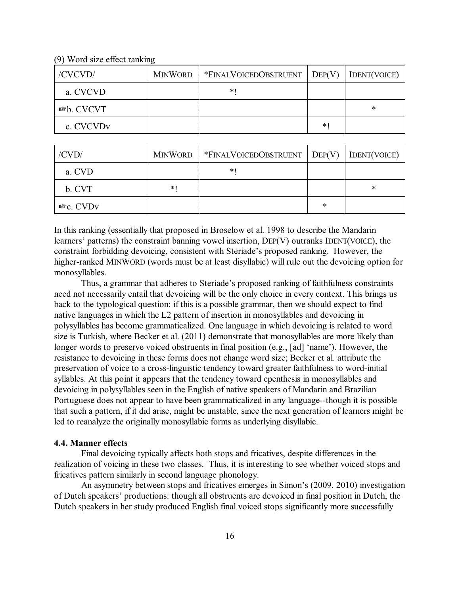(9) Word size effect ranking

| /CVCVD/               | MINWORD | <b>FINALVOICEDOBSTRUENT</b> | $\vert$ DEP(V) | <b>IDENT</b> (VOICE) |
|-----------------------|---------|-----------------------------|----------------|----------------------|
| a. CVCVD              |         | ∗∣                          |                |                      |
| াজ <b>b</b> . CVCVT   |         |                             |                | ∗                    |
| c. CVCVD <sub>v</sub> |         |                             | $*1$           |                      |

| /CVD/    |      | MINWORD   *FINALVOICEDOBSTRUENT   DEP(V) |   | <b>IDENT</b> (VOICE) |
|----------|------|------------------------------------------|---|----------------------|
| a. CVD   |      | *1                                       |   |                      |
| b. CVT   | $*1$ |                                          |   | *                    |
| $E$ CVDv |      |                                          | ∗ |                      |

In this ranking (essentially that proposed in Broselow et al. 1998 to describe the Mandarin learners' patterns) the constraint banning vowel insertion, DEP(V) outranks IDENT(VOICE), the constraint forbidding devoicing, consistent with Steriade's proposed ranking. However, the higher-ranked MINWORD (words must be at least disyllabic) will rule out the devoicing option for monosyllables.

Thus, a grammar that adheres to Steriade's proposed ranking of faithfulness constraints need not necessarily entail that devoicing will be the only choice in every context. This brings us back to the typological question: if this is a possible grammar, then we should expect to find native languages in which the L2 pattern of insertion in monosyllables and devoicing in polysyllables has become grammaticalized. One language in which devoicing is related to word size is Turkish, where Becker et al. (2011) demonstrate that monosyllables are more likely than longer words to preserve voiced obstruents in final position (e.g., [ad] 'name'). However, the resistance to devoicing in these forms does not change word size; Becker et al. attribute the preservation of voice to a cross-linguistic tendency toward greater faithfulness to word-initial syllables. At this point it appears that the tendency toward epenthesis in monosyllables and devoicing in polysyllables seen in the English of native speakers of Mandarin and Brazilian Portuguese does not appear to have been grammaticalized in any language--though it is possible that such a pattern, if it did arise, might be unstable, since the next generation of learners might be led to reanalyze the originally monosyllabic forms as underlying disyllabic.

## **4.4. Manner effects**

Final devoicing typically affects both stops and fricatives, despite differences in the realization of voicing in these two classes. Thus, it is interesting to see whether voiced stops and fricatives pattern similarly in second language phonology.

An asymmetry between stops and fricatives emerges in Simon's (2009, 2010) investigation of Dutch speakers' productions: though all obstruents are devoiced in final position in Dutch, the Dutch speakers in her study produced English final voiced stops significantly more successfully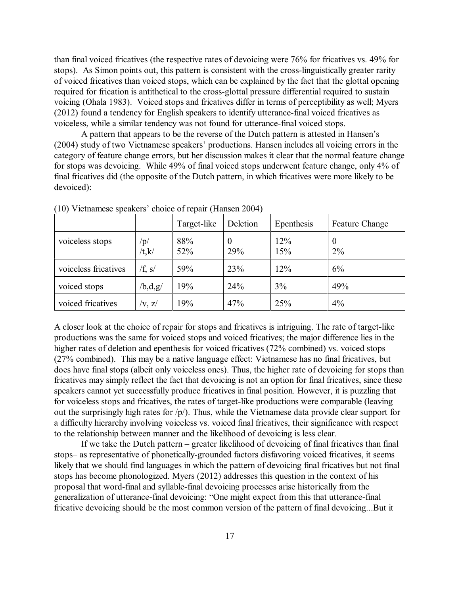than final voiced fricatives (the respective rates of devoicing were 76% for fricatives vs. 49% for stops). As Simon points out, this pattern is consistent with the cross-linguistically greater rarity of voiced fricatives than voiced stops, which can be explained by the fact that the glottal opening required for frication is antithetical to the cross-glottal pressure differential required to sustain voicing (Ohala 1983). Voiced stops and fricatives differ in terms of perceptibility as well; Myers (2012) found a tendency for English speakers to identify utterance-final voiced fricatives as voiceless, while a similar tendency was not found for utterance-final voiced stops.

A pattern that appears to be the reverse of the Dutch pattern is attested in Hansen's (2004) study of two Vietnamese speakers' productions. Hansen includes all voicing errors in the category of feature change errors, but her discussion makes it clear that the normal feature change for stops was devoicing. While 49% of final voiced stops underwent feature change, only 4% of final fricatives did (the opposite of the Dutch pattern, in which fricatives were more likely to be devoiced):

|                      |                                   | Target-like | Deletion        | Epenthesis | <b>Feature Change</b> |
|----------------------|-----------------------------------|-------------|-----------------|------------|-----------------------|
| voiceless stops      | ${\rm \langle p/}$<br>$/t$ , $k/$ | 88%<br>52%  | $\theta$<br>29% | 12%<br>15% | $\theta$<br>$2\%$     |
| voiceless fricatives | /f, s/                            | 59%         | 23%             | 12%        | 6%                    |
| voiced stops         | /b,d,g/                           | 19%         | 24%             | 3%         | 49%                   |
| voiced fricatives    | /v, z/                            | 19%         | 47%             | 25%        | 4%                    |

(10) Vietnamese speakers' choice of repair (Hansen 2004)

A closer look at the choice of repair for stops and fricatives is intriguing. The rate of target-like productions was the same for voiced stops and voiced fricatives; the major difference lies in the higher rates of deletion and epenthesis for voiced fricatives (72% combined) vs. voiced stops (27% combined). This may be a native language effect: Vietnamese has no final fricatives, but does have final stops (albeit only voiceless ones). Thus, the higher rate of devoicing for stops than fricatives may simply reflect the fact that devoicing is not an option for final fricatives, since these speakers cannot yet successfully produce fricatives in final position. However, it is puzzling that for voiceless stops and fricatives, the rates of target-like productions were comparable (leaving out the surprisingly high rates for  $/p$ ). Thus, while the Vietnamese data provide clear support for a difficulty hierarchy involving voiceless vs. voiced final fricatives, their significance with respect to the relationship between manner and the likelihood of devoicing is less clear.

If we take the Dutch pattern – greater likelihood of devoicing of final fricatives than final stops– as representative of phonetically-grounded factors disfavoring voiced fricatives, it seems likely that we should find languages in which the pattern of devoicing final fricatives but not final stops has become phonologized. Myers (2012) addresses this question in the context of his proposal that word-final and syllable-final devoicing processes arise historically from the generalization of utterance-final devoicing: "One might expect from this that utterance-final fricative devoicing should be the most common version of the pattern of final devoicing...But it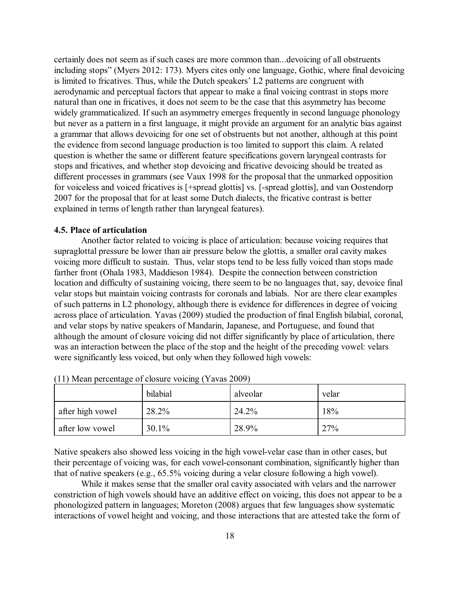certainly does not seem as if such cases are more common than...devoicing of all obstruents including stops" (Myers 2012: 173). Myers cites only one language, Gothic, where final devoicing is limited to fricatives. Thus, while the Dutch speakers' L2 patterns are congruent with aerodynamic and perceptual factors that appear to make a final voicing contrast in stops more natural than one in fricatives, it does not seem to be the case that this asymmetry has become widely grammaticalized. If such an asymmetry emerges frequently in second language phonology but never as a pattern in a first language, it might provide an argument for an analytic bias against a grammar that allows devoicing for one set of obstruents but not another, although at this point the evidence from second language production is too limited to support this claim. A related question is whether the same or different feature specifications govern laryngeal contrasts for stops and fricatives, and whether stop devoicing and fricative devoicing should be treated as different processes in grammars (see Vaux 1998 for the proposal that the unmarked opposition for voiceless and voiced fricatives is [+spread glottis] vs. [-spread glottis], and van Oostendorp 2007 for the proposal that for at least some Dutch dialects, the fricative contrast is better explained in terms of length rather than laryngeal features).

# **4.5. Place of articulation**

Another factor related to voicing is place of articulation: because voicing requires that supraglottal pressure be lower than air pressure below the glottis, a smaller oral cavity makes voicing more difficult to sustain. Thus, velar stops tend to be less fully voiced than stops made farther front (Ohala 1983, Maddieson 1984). Despite the connection between constriction location and difficulty of sustaining voicing, there seem to be no languages that, say, devoice final velar stops but maintain voicing contrasts for coronals and labials. Nor are there clear examples of such patterns in L2 phonology, although there is evidence for differences in degree of voicing across place of articulation. Yavas (2009) studied the production of final English bilabial, coronal, and velar stops by native speakers of Mandarin, Japanese, and Portuguese, and found that although the amount of closure voicing did not differ significantly by place of articulation, there was an interaction between the place of the stop and the height of the preceding vowel: velars were significantly less voiced, but only when they followed high vowels:

|                  | bilabial | alveolar | velar |
|------------------|----------|----------|-------|
| after high vowel | 28.2%    | 24.2%    | 18%   |
| after low yowel  | $30.1\%$ | 28.9%    | 27%   |

Native speakers also showed less voicing in the high vowel-velar case than in other cases, but their percentage of voicing was, for each vowel-consonant combination, significantly higher than that of native speakers (e.g., 65.5% voicing during a velar closure following a high vowel).

While it makes sense that the smaller oral cavity associated with velars and the narrower constriction of high vowels should have an additive effect on voicing, this does not appear to be a phonologized pattern in languages; Moreton (2008) argues that few languages show systematic interactions of vowel height and voicing, and those interactions that are attested take the form of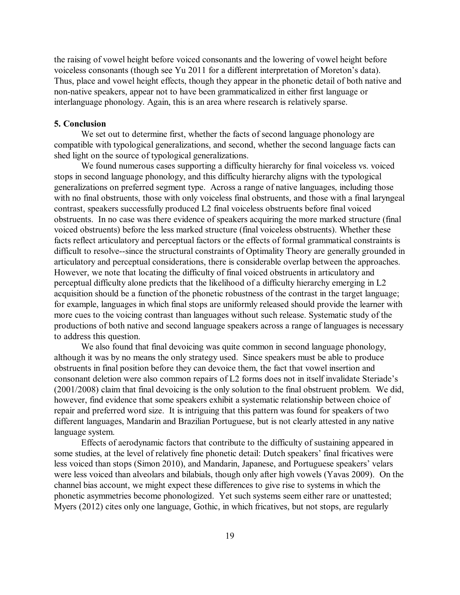the raising of vowel height before voiced consonants and the lowering of vowel height before voiceless consonants (though see Yu 2011 for a different interpretation of Moreton's data). Thus, place and vowel height effects, though they appear in the phonetic detail of both native and non-native speakers, appear not to have been grammaticalized in either first language or interlanguage phonology. Again, this is an area where research is relatively sparse.

# **5. Conclusion**

We set out to determine first, whether the facts of second language phonology are compatible with typological generalizations, and second, whether the second language facts can shed light on the source of typological generalizations.

We found numerous cases supporting a difficulty hierarchy for final voiceless vs. voiced stops in second language phonology, and this difficulty hierarchy aligns with the typological generalizations on preferred segment type. Across a range of native languages, including those with no final obstruents, those with only voiceless final obstruents, and those with a final laryngeal contrast, speakers successfully produced L2 final voiceless obstruents before final voiced obstruents. In no case was there evidence of speakers acquiring the more marked structure (final voiced obstruents) before the less marked structure (final voiceless obstruents). Whether these facts reflect articulatory and perceptual factors or the effects of formal grammatical constraints is difficult to resolve--since the structural constraints of Optimality Theory are generally grounded in articulatory and perceptual considerations, there is considerable overlap between the approaches. However, we note that locating the difficulty of final voiced obstruents in articulatory and perceptual difficulty alone predicts that the likelihood of a difficulty hierarchy emerging in L2 acquisition should be a function of the phonetic robustness of the contrast in the target language; for example, languages in which final stops are uniformly released should provide the learner with more cues to the voicing contrast than languages without such release. Systematic study of the productions of both native and second language speakers across a range of languages is necessary to address this question.

We also found that final devoicing was quite common in second language phonology, although it was by no means the only strategy used. Since speakers must be able to produce obstruents in final position before they can devoice them, the fact that vowel insertion and consonant deletion were also common repairs of L2 forms does not in itself invalidate Steriade's (2001/2008) claim that final devoicing is the only solution to the final obstruent problem. We did, however, find evidence that some speakers exhibit a systematic relationship between choice of repair and preferred word size. It is intriguing that this pattern was found for speakers of two different languages, Mandarin and Brazilian Portuguese, but is not clearly attested in any native language system.

Effects of aerodynamic factors that contribute to the difficulty of sustaining appeared in some studies, at the level of relatively fine phonetic detail: Dutch speakers' final fricatives were less voiced than stops (Simon 2010), and Mandarin, Japanese, and Portuguese speakers' velars were less voiced than alveolars and bilabials, though only after high vowels (Yavas 2009). On the channel bias account, we might expect these differences to give rise to systems in which the phonetic asymmetries become phonologized. Yet such systems seem either rare or unattested; Myers (2012) cites only one language, Gothic, in which fricatives, but not stops, are regularly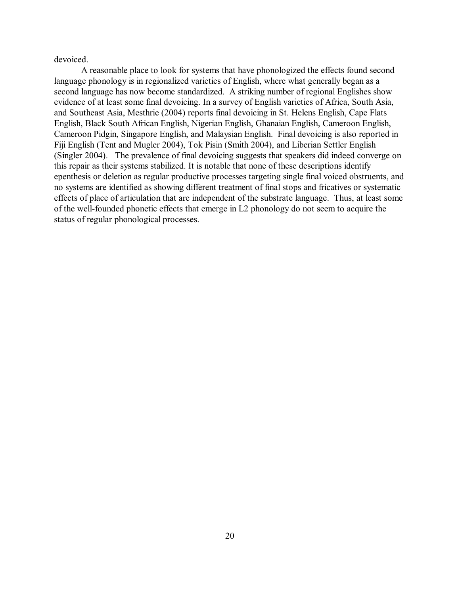devoiced.

A reasonable place to look for systems that have phonologized the effects found second language phonology is in regionalized varieties of English, where what generally began as a second language has now become standardized. A striking number of regional Englishes show evidence of at least some final devoicing. In a survey of English varieties of Africa, South Asia, and Southeast Asia, Mesthrie (2004) reports final devoicing in St. Helens English, Cape Flats English, Black South African English, Nigerian English, Ghanaian English, Cameroon English, Cameroon Pidgin, Singapore English, and Malaysian English. Final devoicing is also reported in Fiji English (Tent and Mugler 2004), Tok Pisin (Smith 2004), and Liberian Settler English (Singler 2004). The prevalence of final devoicing suggests that speakers did indeed converge on this repair as their systems stabilized. It is notable that none of these descriptions identify epenthesis or deletion as regular productive processes targeting single final voiced obstruents, and no systems are identified as showing different treatment of final stops and fricatives or systematic effects of place of articulation that are independent of the substrate language. Thus, at least some of the well-founded phonetic effects that emerge in L2 phonology do not seem to acquire the status of regular phonological processes.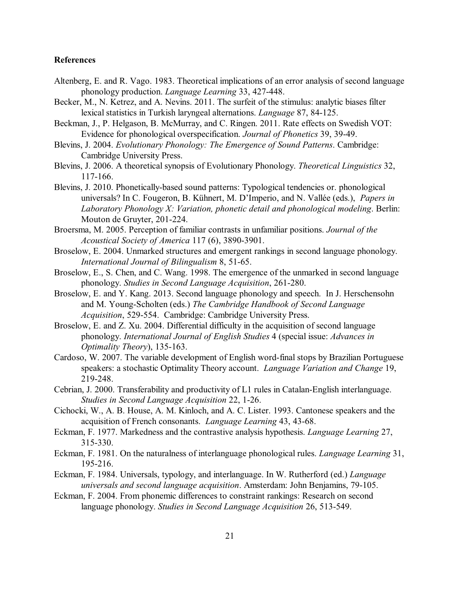# **References**

- Altenberg, E. and R. Vago. 1983. Theoretical implications of an error analysis of second language phonology production. *Language Learning* 33, 427-448.
- Becker, M., N. Ketrez, and A. Nevins. 2011. The surfeit of the stimulus: analytic biases filter lexical statistics in Turkish laryngeal alternations. *Language* 87, 84-125.
- Beckman, J., P. Helgason, B. McMurray, and C. Ringen. 2011. Rate effects on Swedish VOT: Evidence for phonological overspecification. *Journal of Phonetics* 39, 39-49.
- Blevins, J. 2004. *Evolutionary Phonology: The Emergence of Sound Patterns*. Cambridge: Cambridge University Press.
- Blevins, J. 2006. A theoretical synopsis of Evolutionary Phonology. *Theoretical Linguistics* 32, 117-166.
- Blevins, J. 2010. Phonetically-based sound patterns: Typological tendencies or. phonological universals? In C. Fougeron, B. Kühnert, M. D'Imperio, and N. Vallée (eds.), *Papers in Laboratory Phonology X: Variation, phonetic detail and phonological modeling*. Berlin: Mouton de Gruyter, 201-224.
- Broersma, M. 2005. Perception of familiar contrasts in unfamiliar positions. *Journal of the Acoustical Society of America* 117 (6), 3890-3901.
- Broselow, E. 2004. Unmarked structures and emergent rankings in second language phonology. *International Journal of Bilingualism* 8, 51-65.
- Broselow, E., S. Chen, and C. Wang. 1998. The emergence of the unmarked in second language phonology. *Studies in Second Language Acquisition*, 261-280.
- Broselow, E. and Y. Kang. 2013. Second language phonology and speech. In J. Herschensohn and M. Young-Scholten (eds.) *The Cambridge Handbook of Second Language Acquisition*, 529-554. Cambridge: Cambridge University Press.
- Broselow, E. and Z. Xu. 2004. Differential difficulty in the acquisition of second language phonology. *International Journal of English Studies* 4 (special issue: *Advances in Optimality Theory*), 135-163.
- Cardoso, W. 2007. The variable development of English word-final stops by Brazilian Portuguese speakers: a stochastic Optimality Theory account. *Language Variation and Change* 19, 219-248.
- Cebrian, J. 2000. Transferability and productivity of L1 rules in Catalan-English interlanguage. *Studies in Second Language Acquisition* 22, 1-26.
- Cichocki, W., A. B. House, A. M. Kinloch, and A. C. Lister. 1993. Cantonese speakers and the acquisition of French consonants. *Language Learning* 43, 43-68.
- Eckman, F. 1977. Markedness and the contrastive analysis hypothesis. *Language Learning* 27, 315-330.
- Eckman, F. 1981. On the naturalness of interlanguage phonological rules. *Language Learning* 31, 195-216.
- Eckman, F. 1984. Universals, typology, and interlanguage. In W. Rutherford (ed.) *Language universals and second language acquisition*. Amsterdam: John Benjamins, 79-105.
- Eckman, F. 2004. From phonemic differences to constraint rankings: Research on second language phonology. *Studies in Second Language Acquisition* 26, 513-549.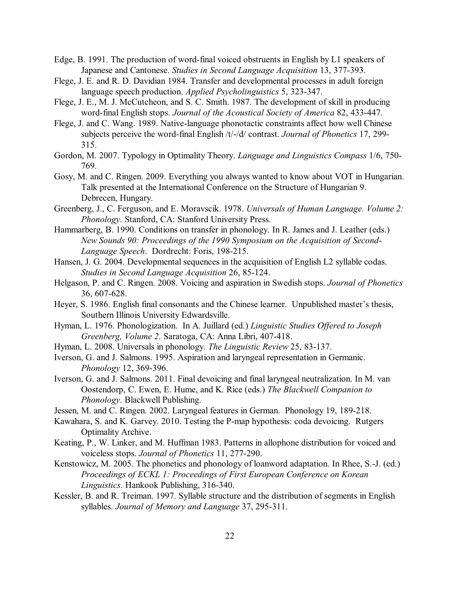- Edge, B. 1991. The production of word-final voiced obstruents in English by L1 speakers of Japanese and Cantonese. *Studies in Second Language Acquisition* 13, 377-393.
- Flege, J. E. and R. D. Davidian 1984. Transfer and developmental processes in adult foreign language speech production. *Applied Psycholinguistics* 5, 323-347.
- Flege, J. E., M. J. McCutcheon, and S. C. Smith. 1987. The development of skill in producing word-final English stops. *Journal of the Acoustical Society of America* 82, 433-447.
- Flege, J. and C. Wang. 1989. Native-language phonotactic constraints affect how well Chinese subjects perceive the word-final English /t/-/d/ contrast. *Journal of Phonetics* 17, 299- 315.
- Gordon, M. 2007. Typology in Optimality Theory. *Language and Linguistics Compass* 1/6, 750- 769.
- Gosy, M. and C. Ringen. 2009. Everything you always wanted to know about VOT in Hungarian. Talk presented at the International Conference on the Structure of Hungarian 9. Debrecen, Hungary.
- Greenberg, J., C. Ferguson, and E. Moravscik. 1978. *Universals of Human Language. Volume 2: Phonology*. Stanford, CA: Stanford University Press.
- Hammarberg, B. 1990. Conditions on transfer in phonology. In R. James and J. Leather (eds.) *New Sounds 90: Proceedings of the 1990 Symposium on the Acquisition of Second-Language Speech*. Dordrecht: Foris, 198-215.
- Hansen, J. G. 2004. Developmental sequences in the acquisition of English L2 syllable codas. *Studies in Second Language Acquisition* 26, 85-124.
- Helgason, P. and C. Ringen. 2008. Voicing and aspiration in Swedish stops. *Journal of Phonetics* 36, 607-628.
- Heyer, S. 1986. English final consonants and the Chinese learner. Unpublished master's thesis, Southern Illinois University Edwardsville.
- Hyman, L. 1976. Phonologization. In A. Juillard (ed.) *Linguistic Studies Offered to Joseph Greenberg, Volume 2*. Saratoga, CA: Anna Libri, 407-418.
- Hyman, L. 2008. Universals in phonology. *The Linguistic Review* 25, 83-137.
- Iverson, G. and J. Salmons. 1995. Aspiration and laryngeal representation in Germanic. *Phonology* 12, 369-396.
- Iverson, G. and J. Salmons. 2011. Final devoicing and final laryngeal neutralization. In M. van Oostendorp, C. Ewen, E. Hume, and K. Rice (eds.) *The Blackwell Companion to Phonology*. Blackwell Publishing.
- Jessen, M. and C. Ringen. 2002. Laryngeal features in German. Phonology 19, 189-218.
- Kawahara, S. and K. Garvey. 2010. Testing the P-map hypothesis: coda devoicing. Rutgers Optimality Archive.
- Keating, P., W. Linker, and M. Huffman 1983. Patterns in allophone distribution for voiced and voiceless stops. *Journal of Phonetics* 11, 277-290.
- Kenstowicz, M. 2005. The phonetics and phonology of loanword adaptation. In Rhee, S.-J. (ed.) *Proceedings of ECKL 1: Proceedings of First European Conference on Korean Linguistics*. Hankook Publishing, 316-340.
- Kessler, B. and R. Treiman. 1997. Syllable structure and the distribution of segments in English syllables. *Journal of Memory and Language* 37, 295-311.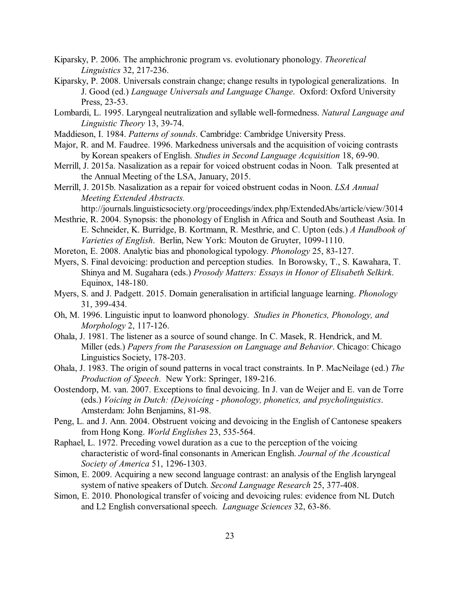- Kiparsky, P. 2006. The amphichronic program vs. evolutionary phonology. *Theoretical Linguistics* 32, 217-236.
- Kiparsky, P. 2008. Universals constrain change; change results in typological generalizations. In J. Good (ed.) *Language Universals and Language Change*. Oxford: Oxford University Press, 23-53.
- Lombardi, L. 1995. Laryngeal neutralization and syllable well-formedness. *Natural Language and Linguistic Theory* 13, 39-74.
- Maddieson, I. 1984. *Patterns of sounds*. Cambridge: Cambridge University Press.
- Major, R. and M. Faudree. 1996. Markedness universals and the acquisition of voicing contrasts by Korean speakers of English. *Studies in Second Language Acquisition* 18, 69-90.
- Merrill, J. 2015a. Nasalization as a repair for voiced obstruent codas in Noon. Talk presented at the Annual Meeting of the LSA, January, 2015.
- Merrill, J. 2015b. Nasalization as a repair for voiced obstruent codas in Noon. *LSA Annual Meeting Extended Abstracts.*

http://journals.linguisticsociety.org/proceedings/index.php/ExtendedAbs/article/view/3014

- Mesthrie, R. 2004. Synopsis: the phonology of English in Africa and South and Southeast Asia. In E. Schneider, K. Burridge, B. Kortmann, R. Mesthrie, and C. Upton (eds.) *A Handbook of Varieties of English*. Berlin, New York: Mouton de Gruyter, 1099-1110.
- Moreton, E. 2008. Analytic bias and phonological typology. *Phonology* 25, 83-127.
- Myers, S. Final devoicing: production and perception studies. In Borowsky, T., S. Kawahara, T. Shinya and M. Sugahara (eds.) *Prosody Matters: Essays in Honor of Elisabeth Selkirk*. Equinox, 148-180.
- Myers, S. and J. Padgett. 2015. Domain generalisation in artificial language learning. *Phonology* 31, 399-434.
- Oh, M. 1996. Linguistic input to loanword phonology. *Studies in Phonetics, Phonology, and Morphology* 2, 117-126.
- Ohala, J. 1981. The listener as a source of sound change. In C. Masek, R. Hendrick, and M. Miller (eds.) *Papers from the Parasession on Language and Behavior*. Chicago: Chicago Linguistics Society, 178-203.
- Ohala, J. 1983. The origin of sound patterns in vocal tract constraints. In P. MacNeilage (ed.) *The Production of Speech*. New York: Springer, 189-216.
- Oostendorp, M. van. 2007. Exceptions to final devoicing. In J. van de Weijer and E. van de Torre (eds.) *Voicing in Dutch: (De)voicing - phonology, phonetics, and psycholinguistics*. Amsterdam: John Benjamins, 81-98.
- Peng, L. and J. Ann. 2004. Obstruent voicing and devoicing in the English of Cantonese speakers from Hong Kong. *World Englishes* 23, 535-564.
- Raphael, L. 1972. Preceding vowel duration as a cue to the perception of the voicing characteristic of word-final consonants in American English. *Journal of the Acoustical Society of America* 51, 1296-1303.
- Simon, E. 2009. Acquiring a new second language contrast: an analysis of the English laryngeal system of native speakers of Dutch. *Second Language Research* 25, 377-408.
- Simon, E. 2010. Phonological transfer of voicing and devoicing rules: evidence from NL Dutch and L2 English conversational speech. *Language Sciences* 32, 63-86.